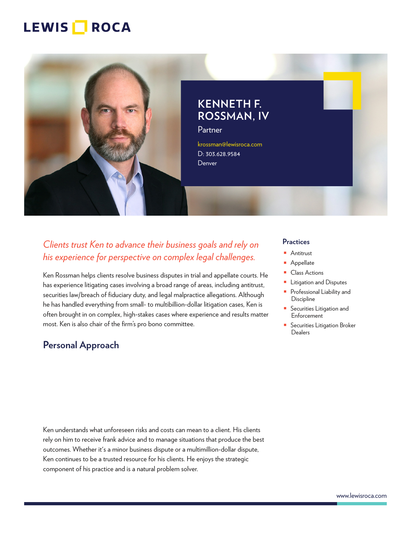

**KENNETH F. ROSSMAN, IV**

Partner

krossman@lewisroca.com D: 303.628.9584 **Denver** 

## *Clients trust Ken to advance their business goals and rely on his experience for perspective on complex legal challenges.*

Ken Rossman helps clients resolve business disputes in trial and appellate courts. He has experience litigating cases involving a broad range of areas, including antitrust, securities law/breach of fiduciary duty, and legal malpractice allegations. Although he has handled everything from small- to multibillion-dollar litigation cases, Ken is often brought in on complex, high-stakes cases where experience and results matter most. Ken is also chair of the firm's pro bono committee.

## **Personal Approach**

#### **Practices**

- Antitrust
- Appellate
- Class Actions
- Litigation and Disputes
- Professional Liability and **Discipline**
- Securities Litigation and Enforcement
- Securities Litigation Broker **Dealers**

Ken understands what unforeseen risks and costs can mean to a client. His clients rely on him to receive frank advice and to manage situations that produce the best outcomes. Whether it's a minor business dispute or a multimillion-dollar dispute, Ken continues to be a trusted resource for his clients. He enjoys the strategic component of his practice and is a natural problem solver.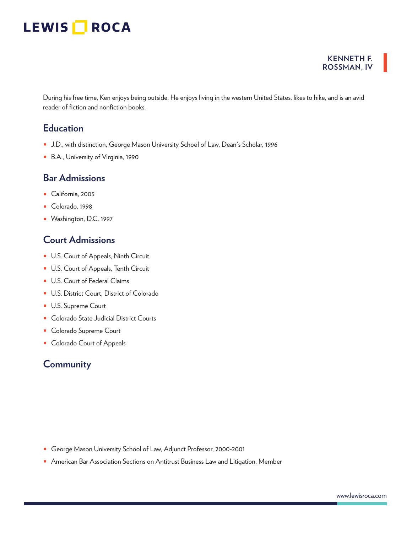# LEWIS **ROCA**

#### **KENNETH F. ROSSMAN, IV**

During his free time, Ken enjoys being outside. He enjoys living in the western United States, likes to hike, and is an avid reader of fiction and nonfiction books.

## **Education**

- J.D., with distinction, George Mason University School of Law, Dean's Scholar, 1996
- B.A., University of Virginia, 1990

### **Bar Admissions**

- California, 2005
- Colorado, 1998
- Washington, D.C. 1997

### **Court Admissions**

- U.S. Court of Appeals, Ninth Circuit
- U.S. Court of Appeals, Tenth Circuit
- U.S. Court of Federal Claims
- U.S. District Court, District of Colorado
- U.S. Supreme Court
- Colorado State Judicial District Courts
- Colorado Supreme Court
- Colorado Court of Appeals

### **Community**

- George Mason University School of Law, Adjunct Professor, 2000-2001
- American Bar Association Sections on Antitrust Business Law and Litigation, Member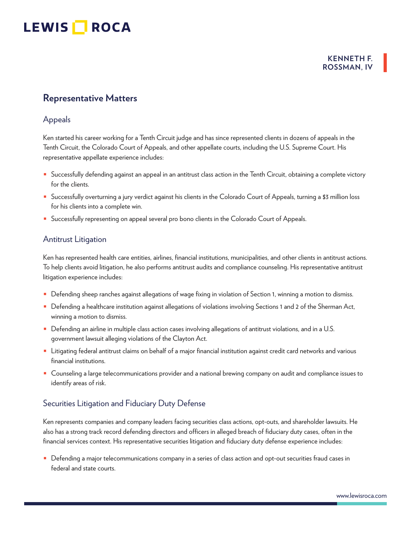#### **KENNETH F. ROSSMAN, IV**

## **Representative Matters**

#### Appeals

Ken started his career working for a Tenth Circuit judge and has since represented clients in dozens of appeals in the Tenth Circuit, the Colorado Court of Appeals, and other appellate courts, including the U.S. Supreme Court. His representative appellate experience includes:

- Successfully defending against an appeal in an antitrust class action in the Tenth Circuit, obtaining a complete victory for the clients.
- Successfully overturning a jury verdict against his clients in the Colorado Court of Appeals, turning a \$3 million loss for his clients into a complete win.
- Successfully representing on appeal several pro bono clients in the Colorado Court of Appeals.

#### Antitrust Litigation

Ken has represented health care entities, airlines, financial institutions, municipalities, and other clients in antitrust actions. To help clients avoid litigation, he also performs antitrust audits and compliance counseling. His representative antitrust litigation experience includes:

- Defending sheep ranches against allegations of wage fixing in violation of Section 1, winning a motion to dismiss.
- Defending a healthcare institution against allegations of violations involving Sections 1 and 2 of the Sherman Act, winning a motion to dismiss.
- Defending an airline in multiple class action cases involving allegations of antitrust violations, and in a U.S. government lawsuit alleging violations of the Clayton Act.
- Litigating federal antitrust claims on behalf of a major financial institution against credit card networks and various financial institutions.
- Counseling a large telecommunications provider and a national brewing company on audit and compliance issues to identify areas of risk.

### Securities Litigation and Fiduciary Duty Defense

Ken represents companies and company leaders facing securities class actions, opt-outs, and shareholder lawsuits. He also has a strong track record defending directors and officers in alleged breach of fiduciary duty cases, often in the financial services context. His representative securities litigation and fiduciary duty defense experience includes:

■ Defending a major telecommunications company in a series of class action and opt-out securities fraud cases in federal and state courts.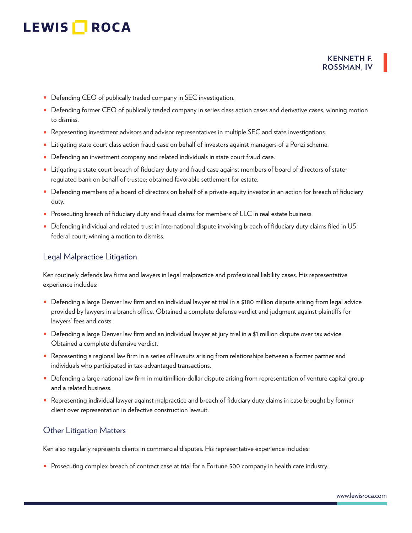#### **KENNETH F. ROSSMAN, IV**

- Defending CEO of publically traded company in SEC investigation.
- Defending former CEO of publically traded company in series class action cases and derivative cases, winning motion to dismiss.
- Representing investment advisors and advisor representatives in multiple SEC and state investigations.
- Litigating state court class action fraud case on behalf of investors against managers of a Ponzi scheme.
- Defending an investment company and related individuals in state court fraud case.
- Litigating a state court breach of fiduciary duty and fraud case against members of board of directors of stateregulated bank on behalf of trustee; obtained favorable settlement for estate.
- Defending members of a board of directors on behalf of a private equity investor in an action for breach of fiduciary duty.
- Prosecuting breach of fiduciary duty and fraud claims for members of LLC in real estate business.
- Defending individual and related trust in international dispute involving breach of fiduciary duty claims filed in US federal court, winning a motion to dismiss.

#### Legal Malpractice Litigation

Ken routinely defends law firms and lawyers in legal malpractice and professional liability cases. His representative experience includes:

- Defending a large Denver law firm and an individual lawyer at trial in a \$180 million dispute arising from legal advice provided by lawyers in a branch office. Obtained a complete defense verdict and judgment against plaintiffs for lawyers' fees and costs.
- Defending a large Denver law firm and an individual lawyer at jury trial in a \$1 million dispute over tax advice. Obtained a complete defensive verdict.
- Representing a regional law firm in a series of lawsuits arising from relationships between a former partner and individuals who participated in tax-advantaged transactions.
- Defending a large national law firm in multimillion-dollar dispute arising from representation of venture capital group and a related business.
- Representing individual lawyer against malpractice and breach of fiduciary duty claims in case brought by former client over representation in defective construction lawsuit.

#### Other Litigation Matters

Ken also regularly represents clients in commercial disputes. His representative experience includes:

■ Prosecuting complex breach of contract case at trial for a Fortune 500 company in health care industry.